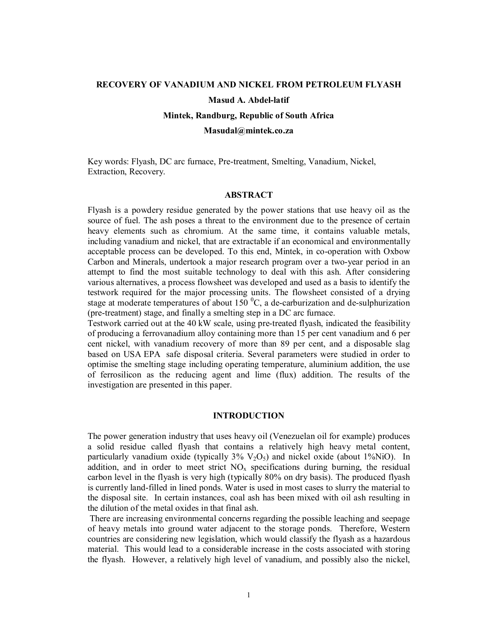# **RECOVERY OF VANADIUM AND NICKEL FROM PETROLEUM FLYASH Masud A. Abdel-latif**

# **Mintek, Randburg, Republic of South Africa**

**Masudal@mintek.co.za** 

Key words: Flyash, DC arc furnace, Pre-treatment, Smelting, Vanadium, Nickel, Extraction, Recovery.

## **ABSTRACT**

Flyash is a powdery residue generated by the power stations that use heavy oil as the source of fuel. The ash poses a threat to the environment due to the presence of certain heavy elements such as chromium. At the same time, it contains valuable metals, including vanadium and nickel, that are extractable if an economical and environmentally acceptable process can be developed. To this end, Mintek, in co-operation with Oxbow Carbon and Minerals, undertook a major research program over a two-year period in an attempt to find the most suitable technology to deal with this ash. After considering various alternatives, a process flowsheet was developed and used as a basis to identify the testwork required for the major processing units. The flowsheet consisted of a drying stage at moderate temperatures of about 150  $^{\circ}$ C, a de-carburization and de-sulphurization (pre-treatment) stage, and finally a smelting step in a DC arc furnace.

Testwork carried out at the 40 kW scale, using pre-treated flyash, indicated the feasibility of producing a ferrovanadium alloy containing more than 15 per cent vanadium and 6 per cent nickel, with vanadium recovery of more than 89 per cent, and a disposable slag based on USA EPA safe disposal criteria. Several parameters were studied in order to optimise the smelting stage including operating temperature, aluminium addition, the use of ferrosilicon as the reducing agent and lime (flux) addition. The results of the investigation are presented in this paper.

# **INTRODUCTION**

The power generation industry that uses heavy oil (Venezuelan oil for example) produces a solid residue called flyash that contains a relatively high heavy metal content, particularly vanadium oxide (typically  $3\%$  V<sub>2</sub>O<sub>5</sub>) and nickel oxide (about 1%NiO). In addition, and in order to meet strict  $NO<sub>x</sub>$  specifications during burning, the residual carbon level in the flyash is very high (typically 80% on dry basis). The produced flyash is currently land-filled in lined ponds. Water is used in most cases to slurry the material to the disposal site. In certain instances, coal ash has been mixed with oil ash resulting in the dilution of the metal oxides in that final ash.

 There are increasing environmental concerns regarding the possible leaching and seepage of heavy metals into ground water adjacent to the storage ponds. Therefore, Western countries are considering new legislation, which would classify the flyash as a hazardous material. This would lead to a considerable increase in the costs associated with storing the flyash. However, a relatively high level of vanadium, and possibly also the nickel,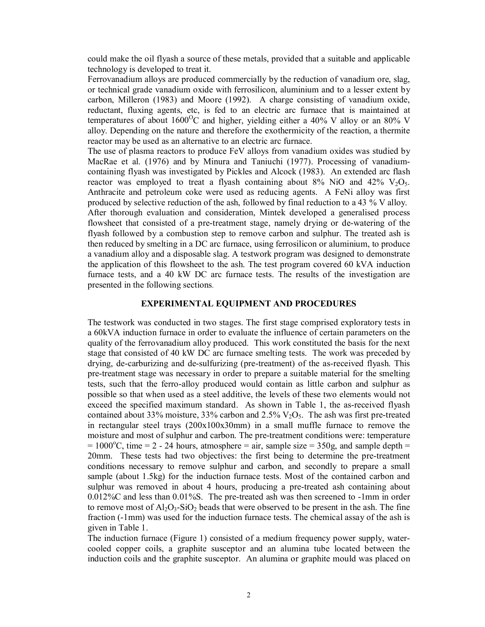could make the oil flyash a source of these metals, provided that a suitable and applicable technology is developed to treat it.

Ferrovanadium alloys are produced commercially by the reduction of vanadium ore, slag, or technical grade vanadium oxide with ferrosilicon, aluminium and to a lesser extent by carbon, Milleron (1983) and Moore (1992). A charge consisting of vanadium oxide, reductant, fluxing agents, etc, is fed to an electric arc furnace that is maintained at temperatures of about  $1600^{\circ}$ C and higher, yielding either a 40% V alloy or an 80% V alloy. Depending on the nature and therefore the exothermicity of the reaction, a thermite reactor may be used as an alternative to an electric arc furnace.

The use of plasma reactors to produce FeV alloys from vanadium oxides was studied by MacRae et al. (1976) and by Minura and Taniuchi (1977). Processing of vanadiumcontaining flyash was investigated by Pickles and Alcock (1983). An extended arc flash reactor was employed to treat a flyash containing about 8% NiO and  $42\%$  V<sub>2</sub>O<sub>5</sub>. Anthracite and petroleum coke were used as reducing agents. A FeNi alloy was first produced by selective reduction of the ash, followed by final reduction to a 43 % V alloy. After thorough evaluation and consideration, Mintek developed a generalised process flowsheet that consisted of a pre-treatment stage, namely drying or de-watering of the flyash followed by a combustion step to remove carbon and sulphur. The treated ash is then reduced by smelting in a DC arc furnace, using ferrosilicon or aluminium, to produce a vanadium alloy and a disposable slag. A testwork program was designed to demonstrate the application of this flowsheet to the ash. The test program covered 60 kVA induction furnace tests, and a 40 kW DC arc furnace tests. The results of the investigation are presented in the following sections.

## **EXPERIMENTAL EQUIPMENT AND PROCEDURES**

The testwork was conducted in two stages. The first stage comprised exploratory tests in a 60kVA induction furnace in order to evaluate the influence of certain parameters on the quality of the ferrovanadium alloy produced. This work constituted the basis for the next stage that consisted of 40 kW DC arc furnace smelting tests. The work was preceded by drying, de-carburizing and de-sulfurizing (pre-treatment) of the as-received flyash. This pre-treatment stage was necessary in order to prepare a suitable material for the smelting tests, such that the ferro-alloy produced would contain as little carbon and sulphur as possible so that when used as a steel additive, the levels of these two elements would not exceed the specified maximum standard. As shown in Table 1, the as-received flyash contained about 33% moisture, 33% carbon and  $2.5\%$  V<sub>2</sub>O<sub>5</sub>. The ash was first pre-treated in rectangular steel trays (200x100x30mm) in a small muffle furnace to remove the moisture and most of sulphur and carbon. The pre-treatment conditions were: temperature  $= 1000^{\circ}$ C, time  $= 2 - 24$  hours, atmosphere  $=$  air, sample size  $= 350$ g, and sample depth  $=$ 20mm. These tests had two objectives: the first being to determine the pre-treatment conditions necessary to remove sulphur and carbon, and secondly to prepare a small sample (about 1.5kg) for the induction furnace tests. Most of the contained carbon and sulphur was removed in about 4 hours, producing a pre-treated ash containing about 0.012%C and less than 0.01%S. The pre-treated ash was then screened to -1mm in order to remove most of  $A_1O_3$ -SiO<sub>2</sub> beads that were observed to be present in the ash. The fine fraction (-1mm) was used for the induction furnace tests. The chemical assay of the ash is given in Table 1.

The induction furnace (Figure 1) consisted of a medium frequency power supply, watercooled copper coils, a graphite susceptor and an alumina tube located between the induction coils and the graphite susceptor. An alumina or graphite mould was placed on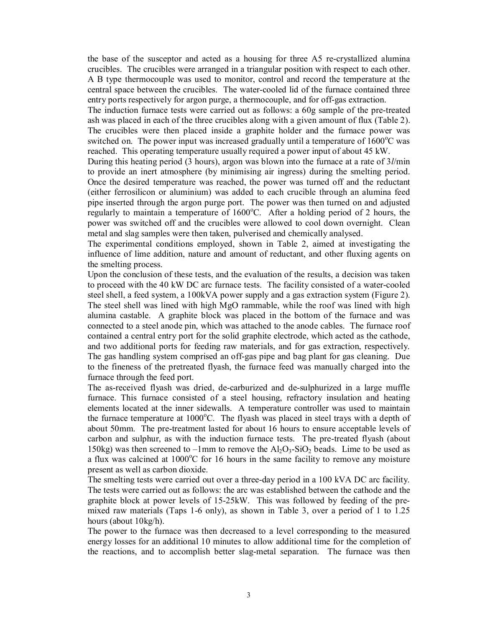the base of the susceptor and acted as a housing for three A5 re-crystallized alumina crucibles. The crucibles were arranged in a triangular position with respect to each other. A B type thermocouple was used to monitor, control and record the temperature at the central space between the crucibles. The water-cooled lid of the furnace contained three entry ports respectively for argon purge, a thermocouple, and for off-gas extraction.

The induction furnace tests were carried out as follows: a 60g sample of the pre-treated ash was placed in each of the three crucibles along with a given amount of flux (Table 2). The crucibles were then placed inside a graphite holder and the furnace power was switched on. The power input was increased gradually until a temperature of  $1600^{\circ}$ C was reached. This operating temperature usually required a power input of about 45 kW.

During this heating period (3 hours), argon was blown into the furnace at a rate of 3*l*/min to provide an inert atmosphere (by minimising air ingress) during the smelting period. Once the desired temperature was reached, the power was turned off and the reductant (either ferrosilicon or aluminium) was added to each crucible through an alumina feed pipe inserted through the argon purge port. The power was then turned on and adjusted regularly to maintain a temperature of 1600°C. After a holding period of 2 hours, the power was switched off and the crucibles were allowed to cool down overnight. Clean metal and slag samples were then taken, pulverised and chemically analysed.

The experimental conditions employed, shown in Table 2, aimed at investigating the influence of lime addition, nature and amount of reductant, and other fluxing agents on the smelting process.

Upon the conclusion of these tests, and the evaluation of the results, a decision was taken to proceed with the 40 kW DC arc furnace tests. The facility consisted of a water-cooled steel shell, a feed system, a 100kVA power supply and a gas extraction system (Figure 2). The steel shell was lined with high MgO rammable, while the roof was lined with high alumina castable. A graphite block was placed in the bottom of the furnace and was connected to a steel anode pin, which was attached to the anode cables. The furnace roof contained a central entry port for the solid graphite electrode, which acted as the cathode, and two additional ports for feeding raw materials, and for gas extraction, respectively. The gas handling system comprised an off-gas pipe and bag plant for gas cleaning. Due to the fineness of the pretreated flyash, the furnace feed was manually charged into the furnace through the feed port.

The as-received flyash was dried, de-carburized and de-sulphurized in a large muffle furnace. This furnace consisted of a steel housing, refractory insulation and heating elements located at the inner sidewalls. A temperature controller was used to maintain the furnace temperature at  $1000^{\circ}$ C. The flyash was placed in steel trays with a depth of about 50mm. The pre-treatment lasted for about 16 hours to ensure acceptable levels of carbon and sulphur, as with the induction furnace tests. The pre-treated flyash (about 150kg) was then screened to  $-1$ mm to remove the  $Al_2O_3-SiO_2$  beads. Lime to be used as a flux was calcined at  $1000^{\circ}$ C for 16 hours in the same facility to remove any moisture present as well as carbon dioxide.

The smelting tests were carried out over a three-day period in a 100 kVA DC arc facility. The tests were carried out as follows: the arc was established between the cathode and the graphite block at power levels of 15-25kW. This was followed by feeding of the premixed raw materials (Taps 1-6 only), as shown in Table 3, over a period of 1 to 1.25 hours (about 10kg/h).

The power to the furnace was then decreased to a level corresponding to the measured energy losses for an additional 10 minutes to allow additional time for the completion of the reactions, and to accomplish better slag-metal separation. The furnace was then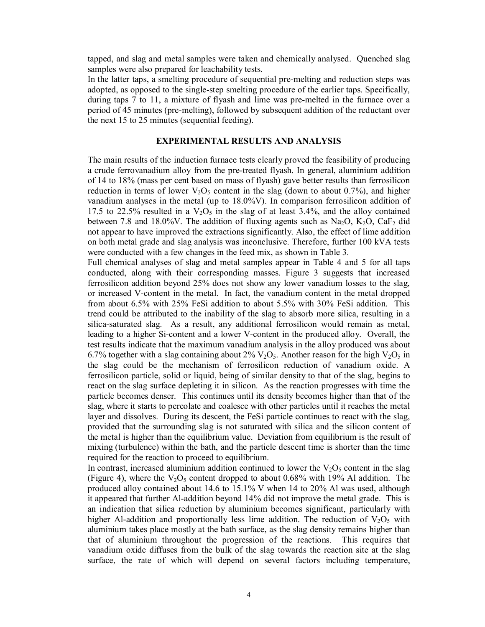tapped, and slag and metal samples were taken and chemically analysed. Quenched slag samples were also prepared for leachability tests.

In the latter taps, a smelting procedure of sequential pre-melting and reduction steps was adopted, as opposed to the single-step smelting procedure of the earlier taps. Specifically, during taps 7 to 11, a mixture of flyash and lime was pre-melted in the furnace over a period of 45 minutes (pre-melting), followed by subsequent addition of the reductant over the next 15 to 25 minutes (sequential feeding).

# **EXPERIMENTAL RESULTS AND ANALYSIS**

The main results of the induction furnace tests clearly proved the feasibility of producing a crude ferrovanadium alloy from the pre-treated flyash. In general, aluminium addition of 14 to 18% (mass per cent based on mass of flyash) gave better results than ferrosilicon reduction in terms of lower  $V_2O_5$  content in the slag (down to about 0.7%), and higher vanadium analyses in the metal (up to 18.0%V). In comparison ferrosilicon addition of 17.5 to 22.5% resulted in a  $V_2O_5$  in the slag of at least 3.4%, and the alloy contained between 7.8 and 18.0%V. The addition of fluxing agents such as  $Na<sub>2</sub>O$ ,  $K<sub>2</sub>O$ ,  $CaF<sub>2</sub>$  did not appear to have improved the extractions significantly. Also, the effect of lime addition on both metal grade and slag analysis was inconclusive. Therefore, further 100 kVA tests were conducted with a few changes in the feed mix, as shown in Table 3.

Full chemical analyses of slag and metal samples appear in Table 4 and 5 for all taps conducted, along with their corresponding masses. Figure 3 suggests that increased ferrosilicon addition beyond 25% does not show any lower vanadium losses to the slag, or increased V-content in the metal. In fact, the vanadium content in the metal dropped from about 6.5% with 25% FeSi addition to about 5.5% with 30% FeSi addition. This trend could be attributed to the inability of the slag to absorb more silica, resulting in a silica-saturated slag. As a result, any additional ferrosilicon would remain as metal, leading to a higher Si-content and a lower V-content in the produced alloy. Overall, the test results indicate that the maximum vanadium analysis in the alloy produced was about 6.7% together with a slag containing about 2%  $V_2O_5$ . Another reason for the high  $V_2O_5$  in the slag could be the mechanism of ferrosilicon reduction of vanadium oxide. A ferrosilicon particle, solid or liquid, being of similar density to that of the slag, begins to react on the slag surface depleting it in silicon. As the reaction progresses with time the particle becomes denser. This continues until its density becomes higher than that of the slag, where it starts to percolate and coalesce with other particles until it reaches the metal layer and dissolves. During its descent, the FeSi particle continues to react with the slag, provided that the surrounding slag is not saturated with silica and the silicon content of the metal is higher than the equilibrium value. Deviation from equilibrium is the result of mixing (turbulence) within the bath, and the particle descent time is shorter than the time required for the reaction to proceed to equilibrium.

In contrast, increased aluminium addition continued to lower the  $V_2O_5$  content in the slag (Figure 4), where the  $V_2O_5$  content dropped to about 0.68% with 19% Al addition. The produced alloy contained about 14.6 to 15.1% V when 14 to 20% Al was used, although it appeared that further Al-addition beyond 14% did not improve the metal grade. This is an indication that silica reduction by aluminium becomes significant, particularly with higher Al-addition and proportionally less lime addition. The reduction of  $V_2O_5$  with aluminium takes place mostly at the bath surface, as the slag density remains higher than that of aluminium throughout the progression of the reactions. This requires that vanadium oxide diffuses from the bulk of the slag towards the reaction site at the slag surface, the rate of which will depend on several factors including temperature,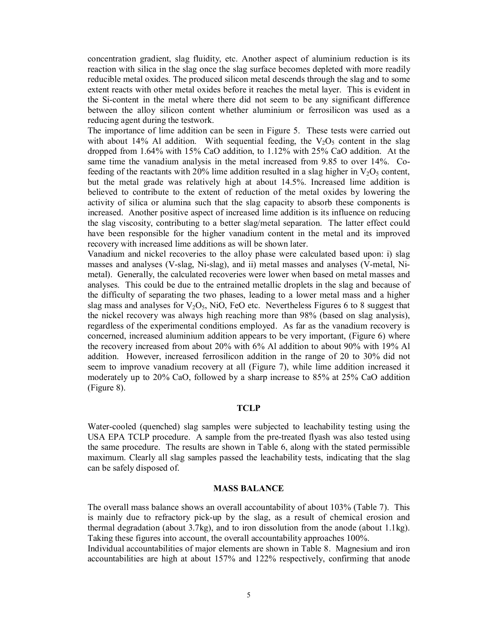concentration gradient, slag fluidity, etc. Another aspect of aluminium reduction is its reaction with silica in the slag once the slag surface becomes depleted with more readily reducible metal oxides. The produced silicon metal descends through the slag and to some extent reacts with other metal oxides before it reaches the metal layer. This is evident in the Si-content in the metal where there did not seem to be any significant difference between the alloy silicon content whether aluminium or ferrosilicon was used as a reducing agent during the testwork.

The importance of lime addition can be seen in Figure 5. These tests were carried out with about 14% Al addition. With sequential feeding, the  $V_2O_5$  content in the slag dropped from 1.64% with 15% CaO addition, to 1.12% with 25% CaO addition. At the same time the vanadium analysis in the metal increased from 9.85 to over 14%. Cofeeding of the reactants with 20% lime addition resulted in a slag higher in  $V_2O_5$  content, but the metal grade was relatively high at about 14.5%. Increased lime addition is believed to contribute to the extent of reduction of the metal oxides by lowering the activity of silica or alumina such that the slag capacity to absorb these components is increased. Another positive aspect of increased lime addition is its influence on reducing the slag viscosity, contributing to a better slag/metal separation. The latter effect could have been responsible for the higher vanadium content in the metal and its improved recovery with increased lime additions as will be shown later.

Vanadium and nickel recoveries to the alloy phase were calculated based upon: i) slag masses and analyses (V-slag, Ni-slag), and ii) metal masses and analyses (V-metal, Nimetal). Generally, the calculated recoveries were lower when based on metal masses and analyses. This could be due to the entrained metallic droplets in the slag and because of the difficulty of separating the two phases, leading to a lower metal mass and a higher slag mass and analyses for  $V_2O_5$ , NiO, FeO etc. Nevertheless Figures 6 to 8 suggest that the nickel recovery was always high reaching more than 98% (based on slag analysis), regardless of the experimental conditions employed. As far as the vanadium recovery is concerned, increased aluminium addition appears to be very important, (Figure 6) where the recovery increased from about 20% with 6% Al addition to about 90% with 19% Al addition. However, increased ferrosilicon addition in the range of 20 to 30% did not seem to improve vanadium recovery at all (Figure 7), while lime addition increased it moderately up to 20% CaO, followed by a sharp increase to 85% at 25% CaO addition (Figure 8).

## **TCLP**

Water-cooled (quenched) slag samples were subjected to leachability testing using the USA EPA TCLP procedure. A sample from the pre-treated flyash was also tested using the same procedure. The results are shown in Table 6, along with the stated permissible maximum. Clearly all slag samples passed the leachability tests, indicating that the slag can be safely disposed of.

## **MASS BALANCE**

The overall mass balance shows an overall accountability of about 103% (Table 7). This is mainly due to refractory pick-up by the slag, as a result of chemical erosion and thermal degradation (about 3.7kg), and to iron dissolution from the anode (about 1.1kg). Taking these figures into account, the overall accountability approaches 100%.

Individual accountabilities of major elements are shown in Table 8. Magnesium and iron accountabilities are high at about 157% and 122% respectively, confirming that anode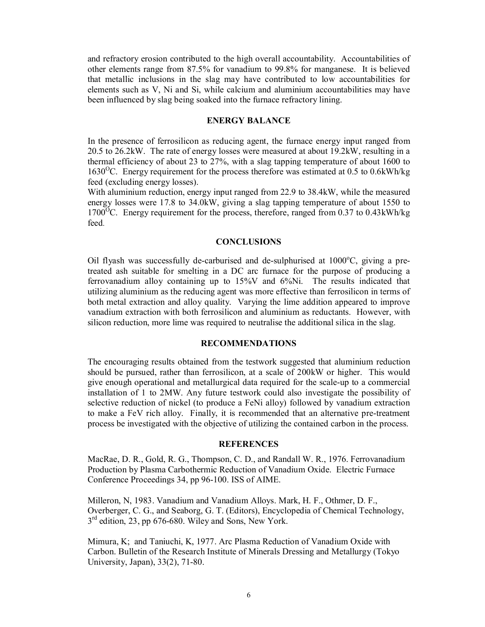and refractory erosion contributed to the high overall accountability. Accountabilities of other elements range from 87.5% for vanadium to 99.8% for manganese. It is believed that metallic inclusions in the slag may have contributed to low accountabilities for elements such as V, Ni and Si, while calcium and aluminium accountabilities may have been influenced by slag being soaked into the furnace refractory lining.

## **ENERGY BALANCE**

In the presence of ferrosilicon as reducing agent, the furnace energy input ranged from 20.5 to 26.2kW. The rate of energy losses were measured at about 19.2kW, resulting in a thermal efficiency of about 23 to 27%, with a slag tapping temperature of about 1600 to 1630<sup>o</sup>C. Energy requirement for the process therefore was estimated at 0.5 to 0.6kWh/kg feed (excluding energy losses).

With aluminium reduction, energy input ranged from 22.9 to 38.4kW, while the measured energy losses were 17.8 to 34.0kW, giving a slag tapping temperature of about 1550 to 1700<sup>o</sup>C. Energy requirement for the process, therefore, ranged from 0.37 to 0.43kWh/kg feed.

# **CONCLUSIONS**

Oil flyash was successfully de-carburised and de-sulphurised at 1000°C, giving a pretreated ash suitable for smelting in a DC arc furnace for the purpose of producing a ferrovanadium alloy containing up to 15%V and 6%Ni. The results indicated that utilizing aluminium as the reducing agent was more effective than ferrosilicon in terms of both metal extraction and alloy quality. Varying the lime addition appeared to improve vanadium extraction with both ferrosilicon and aluminium as reductants. However, with silicon reduction, more lime was required to neutralise the additional silica in the slag.

## **RECOMMENDATIONS**

The encouraging results obtained from the testwork suggested that aluminium reduction should be pursued, rather than ferrosilicon, at a scale of 200kW or higher. This would give enough operational and metallurgical data required for the scale-up to a commercial installation of 1 to 2MW. Any future testwork could also investigate the possibility of selective reduction of nickel (to produce a FeNi alloy) followed by vanadium extraction to make a FeV rich alloy. Finally, it is recommended that an alternative pre-treatment process be investigated with the objective of utilizing the contained carbon in the process.

# **REFERENCES**

MacRae, D. R., Gold, R. G., Thompson, C. D., and Randall W. R., 1976. Ferrovanadium Production by Plasma Carbothermic Reduction of Vanadium Oxide. Electric Furnace Conference Proceedings 34, pp 96-100. ISS of AIME.

Milleron, N, 1983. Vanadium and Vanadium Alloys. Mark, H. F., Othmer, D. F., Overberger, C. G., and Seaborg, G. T. (Editors), Encyclopedia of Chemical Technology,  $3<sup>rd</sup>$  edition, 23, pp 676-680. Wiley and Sons, New York.

Mimura, K; and Taniuchi, K, 1977. Arc Plasma Reduction of Vanadium Oxide with Carbon. Bulletin of the Research Institute of Minerals Dressing and Metallurgy (Tokyo University, Japan), 33(2), 71-80.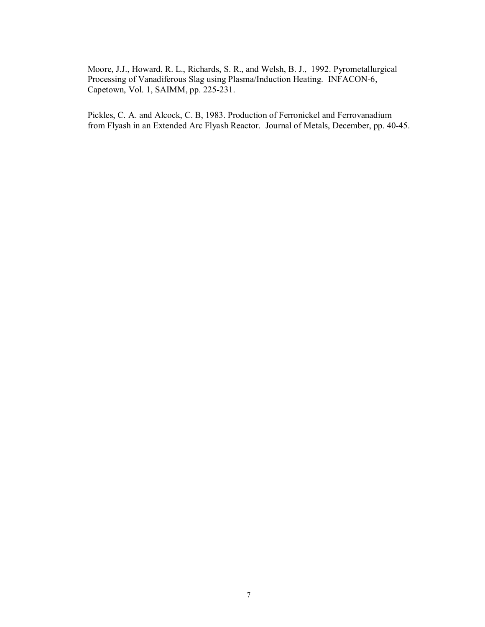Moore, J.J., Howard, R. L., Richards, S. R., and Welsh, B. J., 1992. Pyrometallurgical Processing of Vanadiferous Slag using Plasma/Induction Heating. INFACON-6, Capetown, Vol. 1, SAIMM, pp. 225-231.

Pickles, C. A. and Alcock, C. B, 1983. Production of Ferronickel and Ferrovanadium from Flyash in an Extended Arc Flyash Reactor. Journal of Metals, December, pp. 40-45.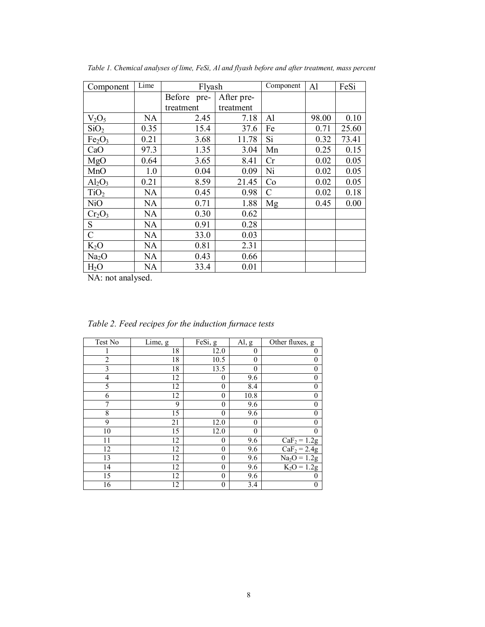| Component                      | Lime      | Flyash      |            | Component | Al    | FeSi  |
|--------------------------------|-----------|-------------|------------|-----------|-------|-------|
|                                |           | Before pre- | After pre- |           |       |       |
|                                |           | treatment   | treatment  |           |       |       |
| $V_2O_5$                       | <b>NA</b> | 2.45        | 7.18       | Al        | 98.00 | 0.10  |
| SiO <sub>2</sub>               | 0.35      | 15.4        | 37.6       | Fe        | 0.71  | 25.60 |
| Fe <sub>2</sub> O <sub>3</sub> | 0.21      | 3.68        | 11.78      | Si        | 0.32  | 73.41 |
| CaO                            | 97.3      | 1.35        | 3.04       | Mn        | 0.25  | 0.15  |
| MgO                            | 0.64      | 3.65        | 8.41       | Cr        | 0.02  | 0.05  |
| MnO                            | 1.0       | 0.04        | 0.09       | Ni        | 0.02  | 0.05  |
| $Al_2O_3$                      | 0.21      | 8.59        | 21.45      | Co        | 0.02  | 0.05  |
| TiO <sub>2</sub>               | NA        | 0.45        | 0.98       | C         | 0.02  | 0.18  |
| NiO                            | NA        | 0.71        | 1.88       | Mg        | 0.45  | 0.00  |
| $Cr_2O_3$                      | NA        | 0.30        | 0.62       |           |       |       |
| S                              | NA        | 0.91        | 0.28       |           |       |       |
| $\mathcal{C}$                  | NA        | 33.0        | 0.03       |           |       |       |
| $K_2O$                         | NA        | 0.81        | 2.31       |           |       |       |
| Na <sub>2</sub> O              | NA        | 0.43        | 0.66       |           |       |       |
| H <sub>2</sub> O               | NA        | 33.4        | 0.01       |           |       |       |

*Table 1. Chemical analyses of lime, FeSi, Al and flyash before and after treatment, mass percent* 

NA: not analysed.

| Test No        | Lime, g         | FeSi, g      | $\mathrm{Al}, \underline{\mathrm{g}}$ | Other fluxes, $g$                |
|----------------|-----------------|--------------|---------------------------------------|----------------------------------|
|                | 18              | 12.0         | $\theta$                              | 0                                |
| $\overline{2}$ | 18              | 10.5         | 0                                     | 0                                |
| 3              | 18              | 13.5         | $\theta$                              | $\boldsymbol{0}$                 |
| 4              | 12              | $\theta$     | 9.6                                   | $\boldsymbol{0}$                 |
| 5              | 12              | 0            | 8.4                                   | $\boldsymbol{0}$                 |
| 6              | 12              | $\theta$     | 10.8                                  | $\boldsymbol{0}$                 |
| 7              | 9               | $\theta$     | 9.6                                   | $\boldsymbol{0}$                 |
| 8              | 15              | $\theta$     | 9.6                                   | $\overline{0}$                   |
| 9              | 21              | 12.0         | $\theta$                              | $\overline{0}$                   |
| 10             | $\overline{15}$ | 12.0         | $\theta$                              | $\overline{0}$                   |
| 11             | 12              | $\theta$     | 9.6                                   | $\overline{\text{CaF}}_2$ = 1.2g |
| 12             | 12              | $\theta$     | 9.6                                   | $CaF2 = 2.4g$                    |
| 13             | 12              | $\theta$     | 9.6                                   | $Na2O = 1.2g$                    |
| 14             | 12              | $\theta$     | 9.6                                   | $K_2O = 1.2g$                    |
| 15             | 12              | $\mathbf{0}$ | 9.6                                   | 0                                |
| 16             | 12              | 0            | 3.4                                   | 0                                |

*Table 2. Feed recipes for the induction furnace tests*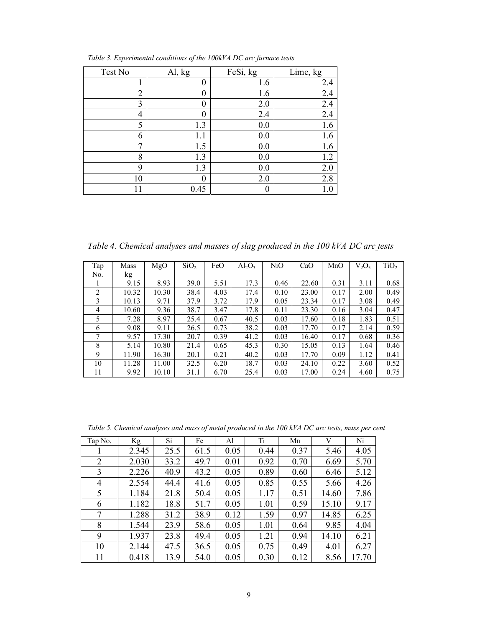| Test No        | Al, kg | FeSi, kg | Lime, kg |
|----------------|--------|----------|----------|
|                | 0      | 1.6      | 2.4      |
| $\overline{2}$ |        | 1.6      | 2.4      |
| 3              | 0      | 2.0      | 2.4      |
| 4              | 0      | 2.4      | 2.4      |
| 5              | 1.3    | 0.0      | 1.6      |
| 6              |        | 0.0      | 1.6      |
| 7              | 1.5    | 0.0      | 1.6      |
| 8              | 1.3    | 0.0      | 1.2      |
| 9              | 1.3    | 0.0      | 2.0      |
| 10             |        | 2.0      | 2.8      |
|                | 0.45   |          | 1.0      |

*Table 3. Experimental conditions of the 100kVA DC arc furnace tests* 

*Table 4. Chemical analyses and masses of slag produced in the 100 kVA DC arc tests* 

| Tap            | Mass  | MgO   | SiO <sub>2</sub> | FeO  | $Al_2O_3$ | NiO  | CaO   | MnO  | $V_2O_5$ | TiO <sub>2</sub> |
|----------------|-------|-------|------------------|------|-----------|------|-------|------|----------|------------------|
| No.            | kg    |       |                  |      |           |      |       |      |          |                  |
|                | 9.15  | 8.93  | 39.0             | 5.51 | 17.3      | 0.46 | 22.60 | 0.31 | 3.11     | 0.68             |
| $\overline{2}$ | 10.32 | 10.30 | 38.4             | 4.03 | 17.4      | 0.10 | 23.00 | 0.17 | 2.00     | 0.49             |
| 3              | 10.13 | 9.71  | 37.9             | 3.72 | 17.9      | 0.05 | 23.34 | 0.17 | 3.08     | 0.49             |
| 4              | 10.60 | 9.36  | 38.7             | 3.47 | 17.8      | 0.11 | 23.30 | 0.16 | 3.04     | 0.47             |
| 5              | 7.28  | 8.97  | 25.4             | 0.67 | 40.5      | 0.03 | 17.60 | 0.18 | 1.83     | 0.51             |
| 6              | 9.08  | 9.11  | 26.5             | 0.73 | 38.2      | 0.03 | 17.70 | 0.17 | 2.14     | 0.59             |
| 7              | 9.57  | 17.30 | 20.7             | 0.39 | 41.2      | 0.03 | 16.40 | 0.17 | 0.68     | 0.36             |
| 8              | 5.14  | 10.80 | 21.4             | 0.65 | 45.3      | 0.30 | 15.05 | 0.13 | 1.64     | 0.46             |
| 9              | 11.90 | 16.30 | 20.1             | 0.21 | 40.2      | 0.03 | 17.70 | 0.09 | 1.12     | 0.41             |
| 10             | 11.28 | 11.00 | 32.5             | 6.20 | 18.7      | 0.03 | 24.10 | 0.22 | 3.60     | 0.52             |
| 11             | 9.92  | 10.10 | 31.1             | 6.70 | 25.4      | 0.03 | 17.00 | 0.24 | 4.60     | 0.75             |

*Table 5. Chemical analyses and mass of metal produced in the 100 kVA DC arc tests, mass per cent* 

| Tap No. | Kg    | Si   | Fe   | Al   | Ti   | Mn   | V     | Ni    |
|---------|-------|------|------|------|------|------|-------|-------|
| I.      | 2.345 | 25.5 | 61.5 | 0.05 | 0.44 | 0.37 | 5.46  | 4.05  |
| 2       | 2.030 | 33.2 | 49.7 | 0.01 | 0.92 | 0.70 | 6.69  | 5.70  |
| 3       | 2.226 | 40.9 | 43.2 | 0.05 | 0.89 | 0.60 | 6.46  | 5.12  |
| 4       | 2.554 | 44.4 | 41.6 | 0.05 | 0.85 | 0.55 | 5.66  | 4.26  |
| 5       | 1.184 | 21.8 | 50.4 | 0.05 | 1.17 | 0.51 | 14.60 | 7.86  |
| 6       | 1.182 | 18.8 | 51.7 | 0.05 | 1.01 | 0.59 | 15.10 | 9.17  |
| 7       | 1.288 | 31.2 | 38.9 | 0.12 | 1.59 | 0.97 | 14.85 | 6.25  |
| 8       | 1.544 | 23.9 | 58.6 | 0.05 | 1.01 | 0.64 | 9.85  | 4.04  |
| 9       | 1.937 | 23.8 | 49.4 | 0.05 | 1.21 | 0.94 | 14.10 | 6.21  |
| 10      | 2.144 | 47.5 | 36.5 | 0.05 | 0.75 | 0.49 | 4.01  | 6.27  |
| 11      | 0.418 | 13.9 | 54.0 | 0.05 | 0.30 | 0.12 | 8.56  | 17.70 |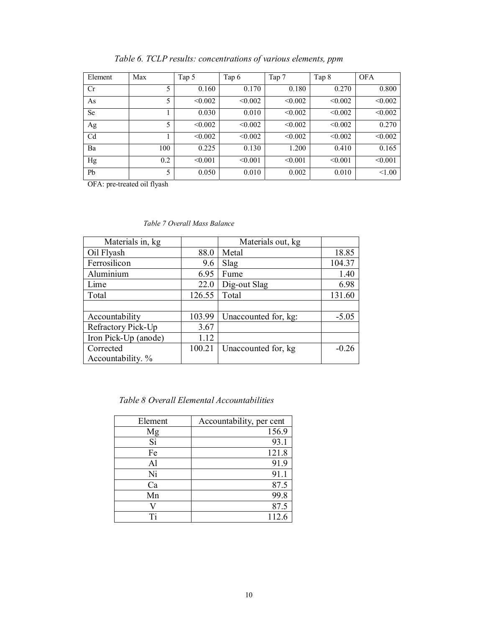| Element        | Max | Tap 5   | Tap 6   | Tap 7   | Tap 8   | <b>OFA</b> |
|----------------|-----|---------|---------|---------|---------|------------|
| Cr             | 5   | 0.160   | 0.170   | 0.180   | 0.270   | 0.800      |
| As             | 5   | < 0.002 | < 0.002 | < 0.002 | < 0.002 | < 0.002    |
| <b>Se</b>      |     | 0.030   | 0.010   | < 0.002 | < 0.002 | < 0.002    |
| Ag             | 5   | < 0.002 | < 0.002 | < 0.002 | < 0.002 | 0.270      |
| C <sub>d</sub> |     | < 0.002 | < 0.002 | < 0.002 | < 0.002 | < 0.002    |
| Ba             | 100 | 0.225   | 0.130   | 1.200   | 0.410   | 0.165      |
| Hg             | 0.2 | < 0.001 | < 0.001 | < 0.001 | < 0.001 | < 0.001    |
| Pb             | 5   | 0.050   | 0.010   | 0.002   | 0.010   | < 1.00     |

*Table 6. TCLP results: concentrations of various elements, ppm* 

OFA: pre-treated oil flyash

|  | Table 7 Overall Mass Balance |
|--|------------------------------|
|--|------------------------------|

| Materials in, kg     |        | Materials out, kg    |         |
|----------------------|--------|----------------------|---------|
| Oil Flyash           | 88.0   | Metal                | 18.85   |
| Ferrosilicon         | 9.6    | Slag                 | 104.37  |
| Aluminium            | 6.95   | Fume                 | 1.40    |
| Lime                 | 22.0   | Dig-out Slag         | 6.98    |
| Total                | 126.55 | Total                | 131.60  |
|                      |        |                      |         |
| Accountability       | 103.99 | Unaccounted for, kg: | $-5.05$ |
| Refractory Pick-Up   | 3.67   |                      |         |
| Iron Pick-Up (anode) | 1.12   |                      |         |
| Corrected            | 100.21 | Unaccounted for, kg  | $-0.26$ |
| Accountability. %    |        |                      |         |

 *Table 8 Overall Elemental Accountabilities* 

| Element | Accountability, per cent |
|---------|--------------------------|
| Mg      | 156.9                    |
| Si      | 93.1                     |
| Fe      | 121.8                    |
| Al      | 91.9                     |
| Ni      | 91.1                     |
| Ca      | 87.5                     |
| Mn      | 99.8                     |
|         | 87.5                     |
| Ti      | 112.6                    |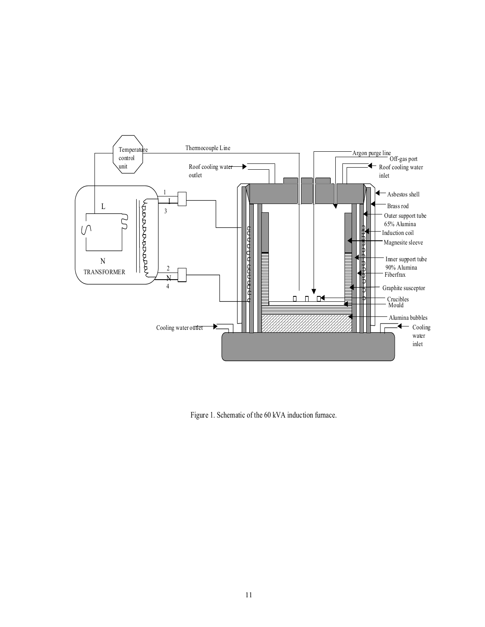

Figure 1. Schematic of the 60 kVA induction furnace.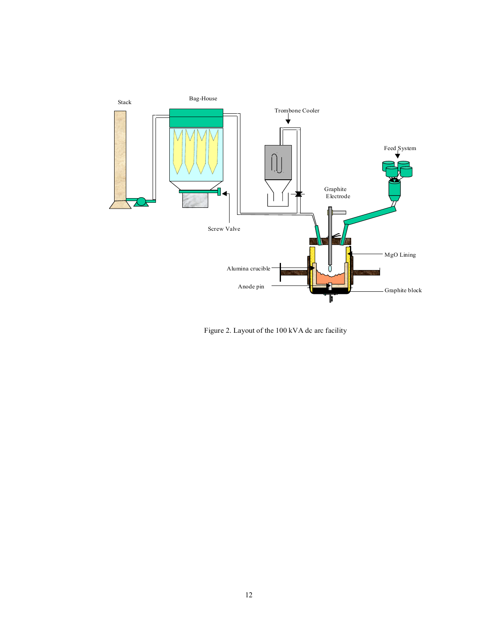

Figure 2. Layout of the 100 kVA dc arc facility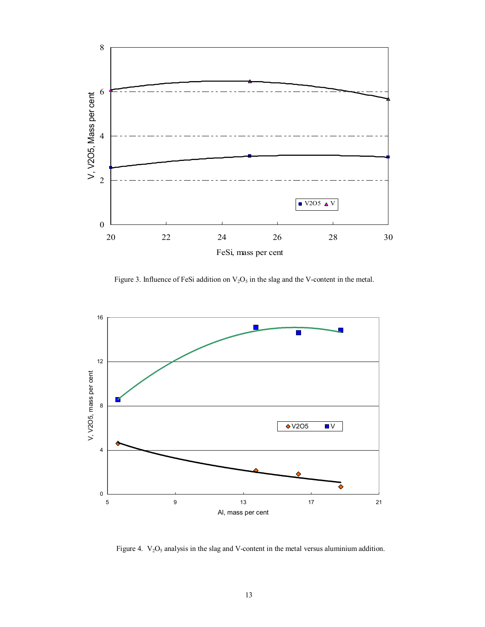

Figure 3. Influence of FeSi addition on  $V_2O_5$  in the slag and the V-content in the metal.



Figure 4.  $V_2O_5$  analysis in the slag and V-content in the metal versus aluminium addition.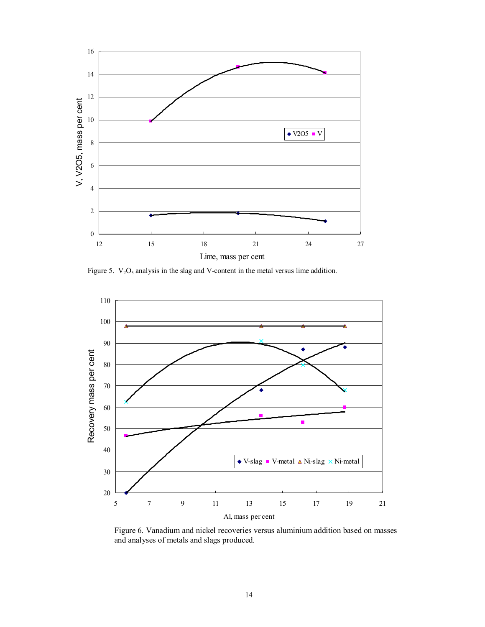

Figure 5.  $V_2O_5$  analysis in the slag and V-content in the metal versus lime addition.



Figure 6. Vanadium and nickel recoveries versus aluminium addition based on masses and analyses of metals and slags produced.